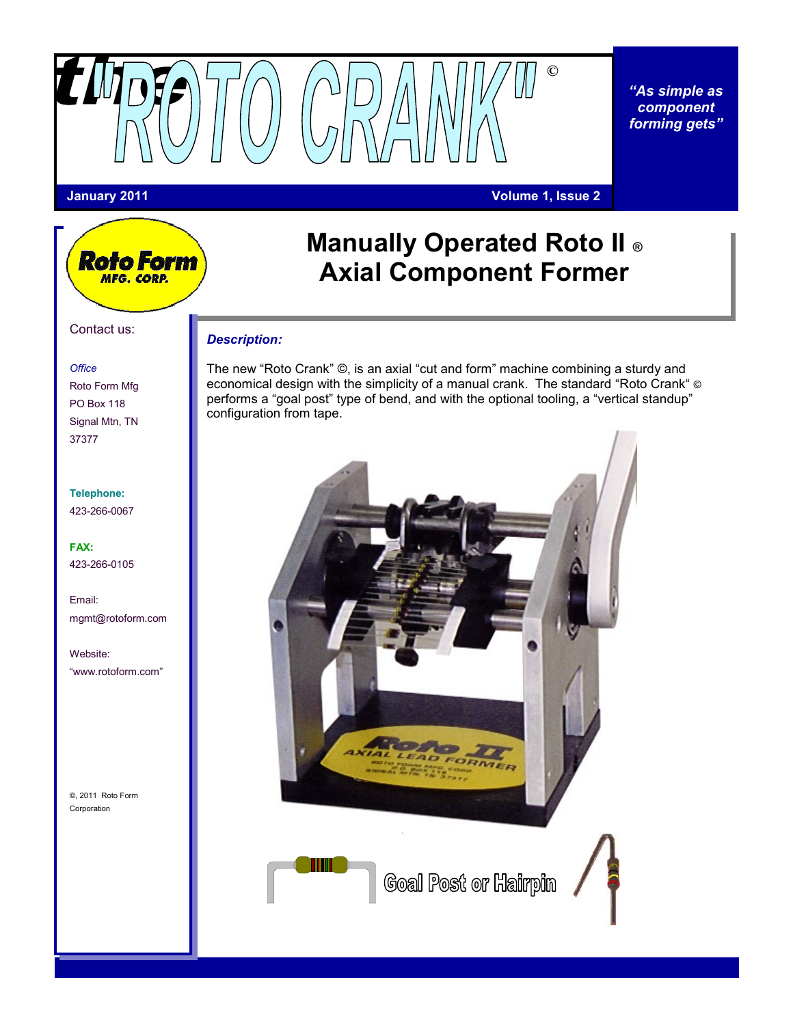

*"As simple as component forming gets"*

**Roto Form** MFG. CORP.

### **January 2011 Volume 1, Issue 2**

# **Manually Operated Roto II ® Axial Component Former**

### *Description:*

The new "Roto Crank" ©, is an axial "cut and form" machine combining a sturdy and economical design with the simplicity of a manual crank. The standard "Roto Crank" © performs a "goal post" type of bend, and with the optional tooling, a "vertical standup" configuration from tape.



**Goal Post or Hairpin** 

## Roto Form Mfg PO Box 118 Signal Mtn, TN 37377

**Telephone:** 423-266-0067

**FAX:** 423-266-0105

Email: mgmt@rotoform.com

Website: "www.rotoform.com"

©, 2011 Roto Form Corporation

*Office*

Contact us: